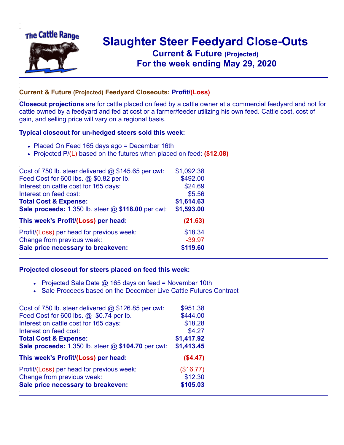

## **Slaughter Steer Feedyard Close-Outs Current & Future (Projected)** .**For the week ending May 29, 2020**

## **Current & Future (Projected) Feedyard Closeouts: Profit/(Loss)**

**Closeout projections** are for cattle placed on feed by a cattle owner at a commercial feedyard and not for cattle owned by a feedyard and fed at cost or a farmer/feeder utilizing his own feed. Cattle cost, cost of gain, and selling price will vary on a regional basis.

## **Typical closeout for un-hedged steers sold this week:**

- Placed On Feed 165 days ago = December 16th
- Projected P/(L) based on the futures when placed on feed: **(\$12.08)**

| Cost of 750 lb. steer delivered $@$ \$145.65 per cwt: | \$1,092.38 |
|-------------------------------------------------------|------------|
| Feed Cost for 600 lbs. @ \$0.82 per lb.               | \$492.00   |
| Interest on cattle cost for 165 days:                 | \$24.69    |
| Interest on feed cost:                                | \$5.56     |
| <b>Total Cost &amp; Expense:</b>                      | \$1,614.63 |
| Sale proceeds: 1,350 lb. steer @ \$118.00 per cwt:    | \$1,593.00 |
| This week's Profit/(Loss) per head:                   | (21.63)    |
| Profit/(Loss) per head for previous week:             | \$18.34    |
| Change from previous week:                            | $-39.97$   |
| Sale price necessary to breakeven:                    | \$119.60   |

## **Projected closeout for steers placed on feed this week:**

- Projected Sale Date  $@$  165 days on feed = November 10th
- Sale Proceeds based on the December Live Cattle Futures Contract

| \$951.38   |
|------------|
| \$444.00   |
| \$18.28    |
| \$4.27     |
| \$1,417.92 |
| \$1,413.45 |
| (\$4.47)   |
| (\$16.77)  |
| \$12.30    |
| \$105.03   |
|            |